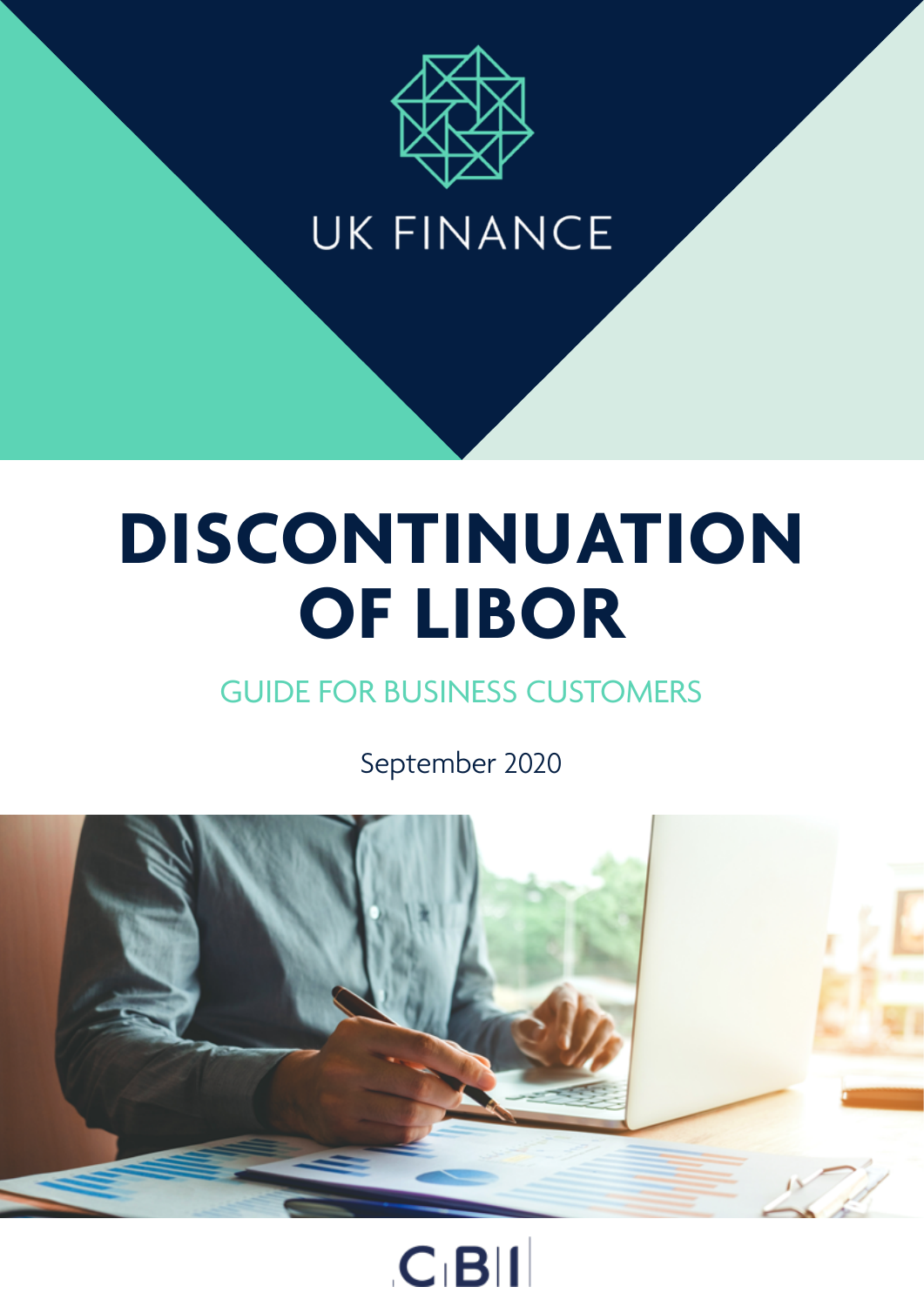

## **UK FINANCE**

## **DISCONTINUATION OF LIBOR**

### GUIDE FOR BUSINESS CUSTOMERS

September 2020

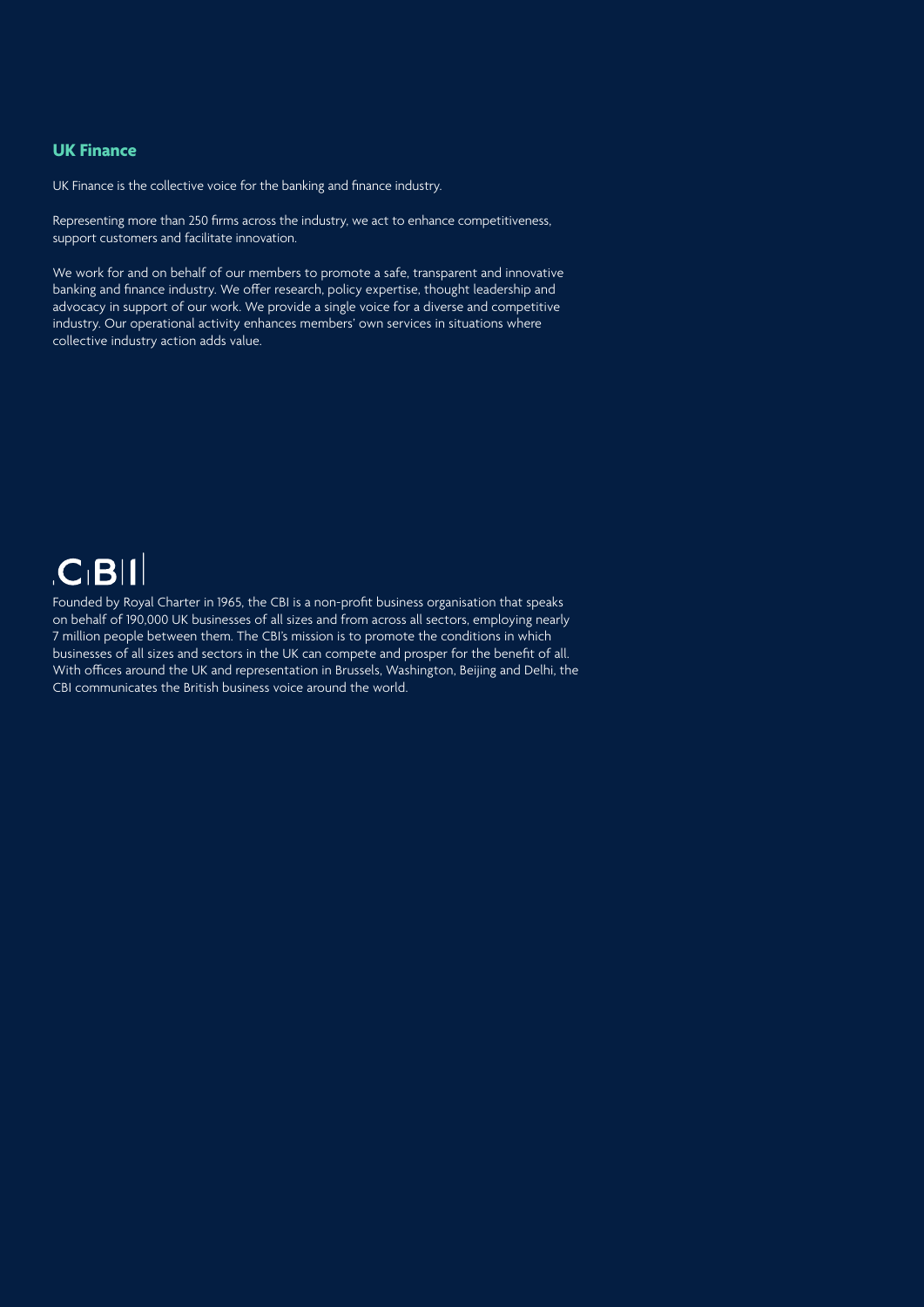#### **UK Finance**

UK Finance is the collective voice for the banking and finance industry.

Representing more than 250 firms across the industry, we act to enhance competitiveness, support customers and facilitate innovation.

We work for and on behalf of our members to promote a safe, transparent and innovative banking and finance industry. We offer research, policy expertise, thought leadership and advocacy in support of our work. We provide a single voice for a diverse and competitive industry. Our operational activity enhances members' own services in situations where collective industry action adds value.

### $|C|B|||$

Founded by Royal Charter in 1965, the CBI is a non-profit business organisation that speaks on behalf of 190,000 UK businesses of all sizes and from across all sectors, employing nearly 7 million people between them. The CBI's mission is to promote the conditions in which businesses of all sizes and sectors in the UK can compete and prosper for the benefit of all. With offices around the UK and representation in Brussels, Washington, Beijing and Delhi, the CBI communicates the British business voice around the world.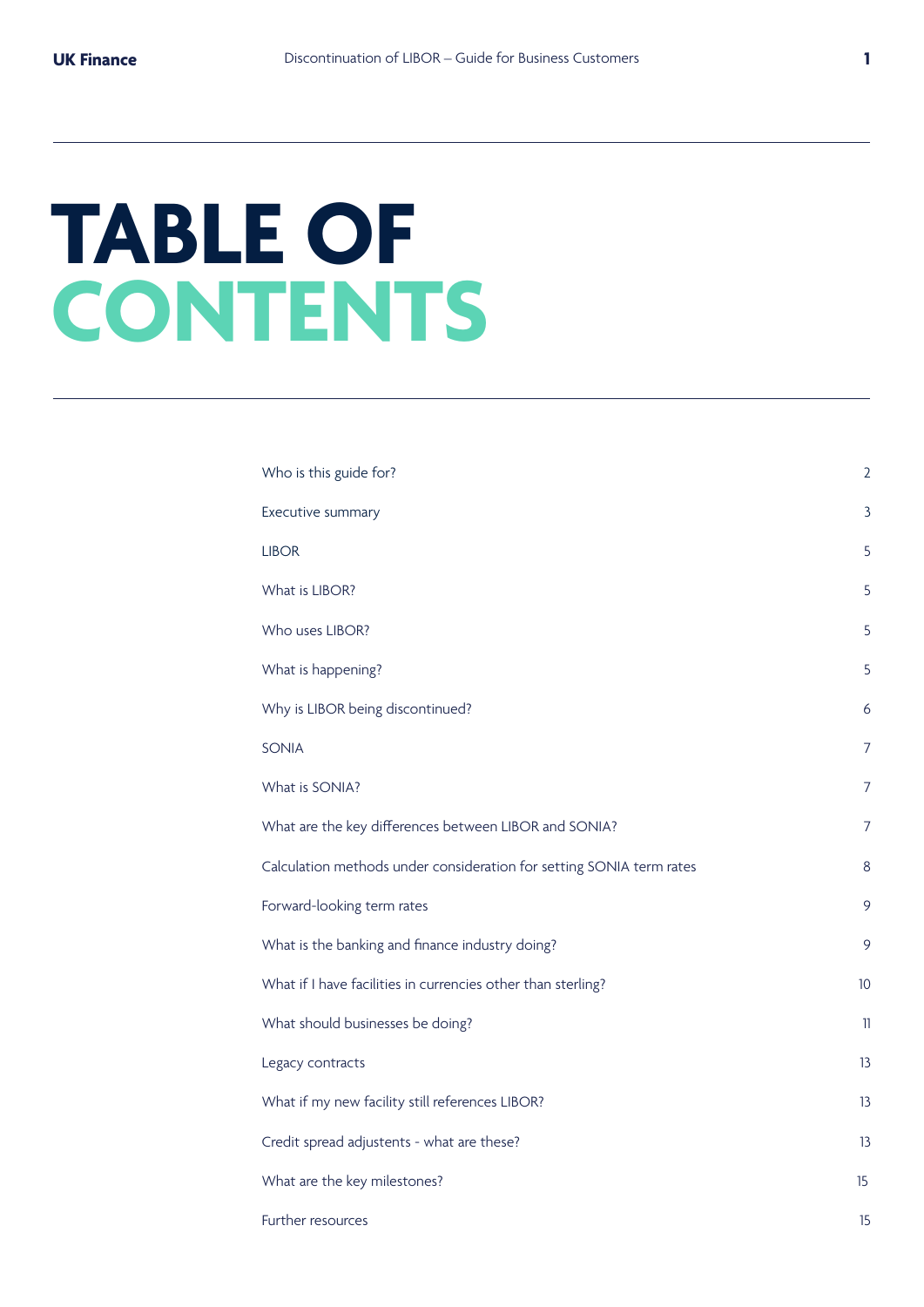# **TABLE OF CONTENTS**

| Who is this guide for?                                               | $\overline{2}$ |
|----------------------------------------------------------------------|----------------|
| Executive summary                                                    | 3              |
| <b>LIBOR</b>                                                         | 5              |
| What is LIBOR?                                                       | 5              |
| Who uses LIBOR?                                                      | 5              |
| What is happening?                                                   | 5              |
| Why is LIBOR being discontinued?                                     | 6              |
| <b>SONIA</b>                                                         | 7              |
| What is SONIA?                                                       | 7              |
| What are the key differences between LIBOR and SONIA?                | 7              |
| Calculation methods under consideration for setting SONIA term rates | 8              |
| Forward-looking term rates                                           | 9              |
| What is the banking and finance industry doing?                      | 9              |
| What if I have facilities in currencies other than sterling?         | 10             |
| What should businesses be doing?                                     | $\frac{1}{2}$  |
| Legacy contracts                                                     | 13             |
| What if my new facility still references LIBOR?                      | 13             |
| Credit spread adjustents - what are these?                           | 13             |
| What are the key milestones?                                         | 15             |
| Further resources                                                    | 15             |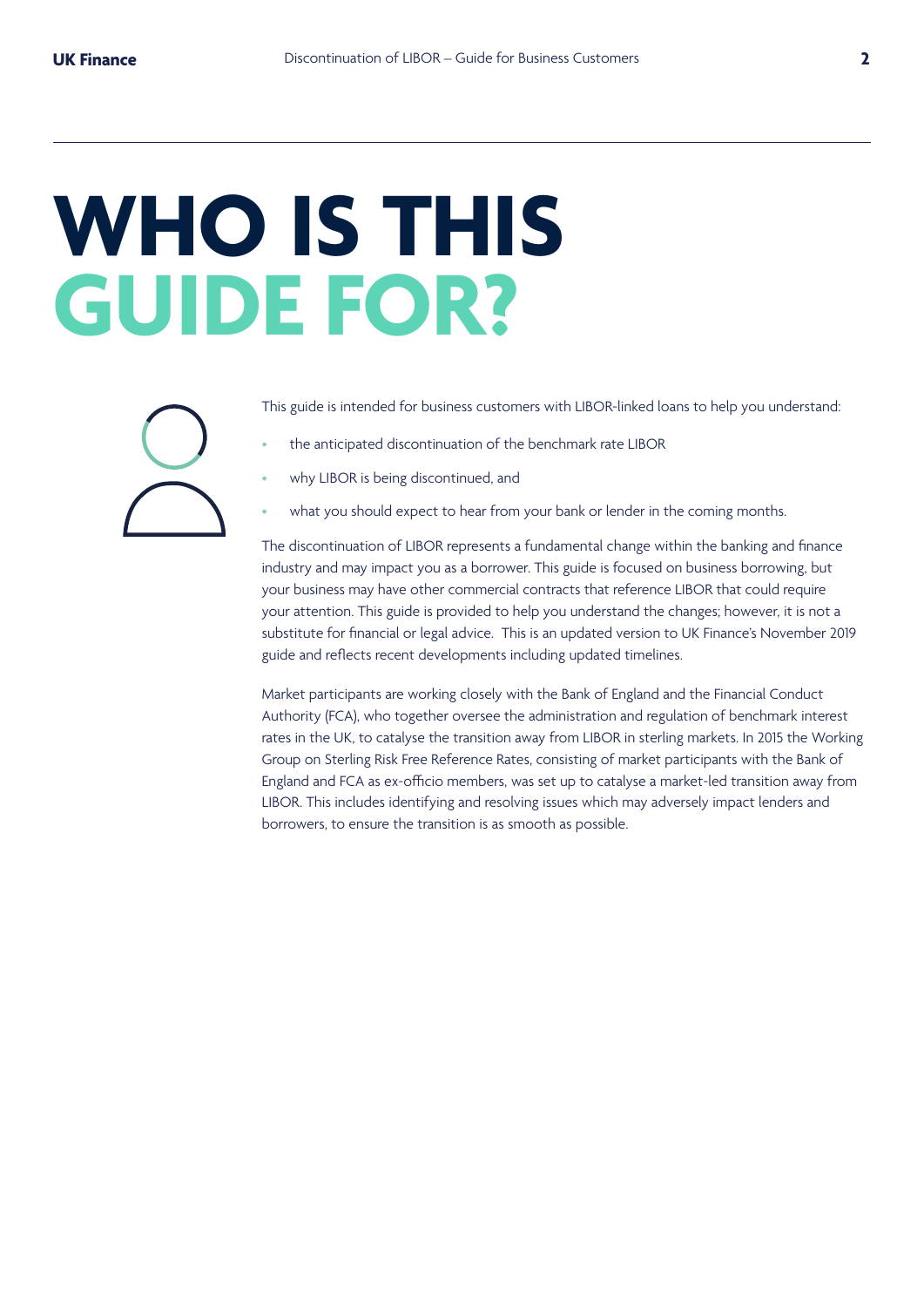## <span id="page-3-0"></span>**WHO IS THIS GUIDE FOR?**



This guide is intended for business customers with LIBOR-linked loans to help you understand:

- the anticipated discontinuation of the benchmark rate LIBOR
- why LIBOR is being discontinued, and
- what you should expect to hear from your bank or lender in the coming months.

The discontinuation of LIBOR represents a fundamental change within the banking and finance industry and may impact you as a borrower. This guide is focused on business borrowing, but your business may have other commercial contracts that reference LIBOR that could require your attention. This guide is provided to help you understand the changes; however, it is not a substitute for financial or legal advice. This is an updated version to UK Finance's November 2019 guide and reflects recent developments including updated timelines.

Market participants are working closely with the Bank of England and the Financial Conduct Authority (FCA), who together oversee the administration and regulation of benchmark interest rates in the UK, to catalyse the transition away from LIBOR in sterling markets. In 2015 the Working Group on Sterling Risk Free Reference Rates, consisting of market participants with the Bank of England and FCA as ex-officio members, was set up to catalyse a market-led transition away from LIBOR. This includes identifying and resolving issues which may adversely impact lenders and borrowers, to ensure the transition is as smooth as possible.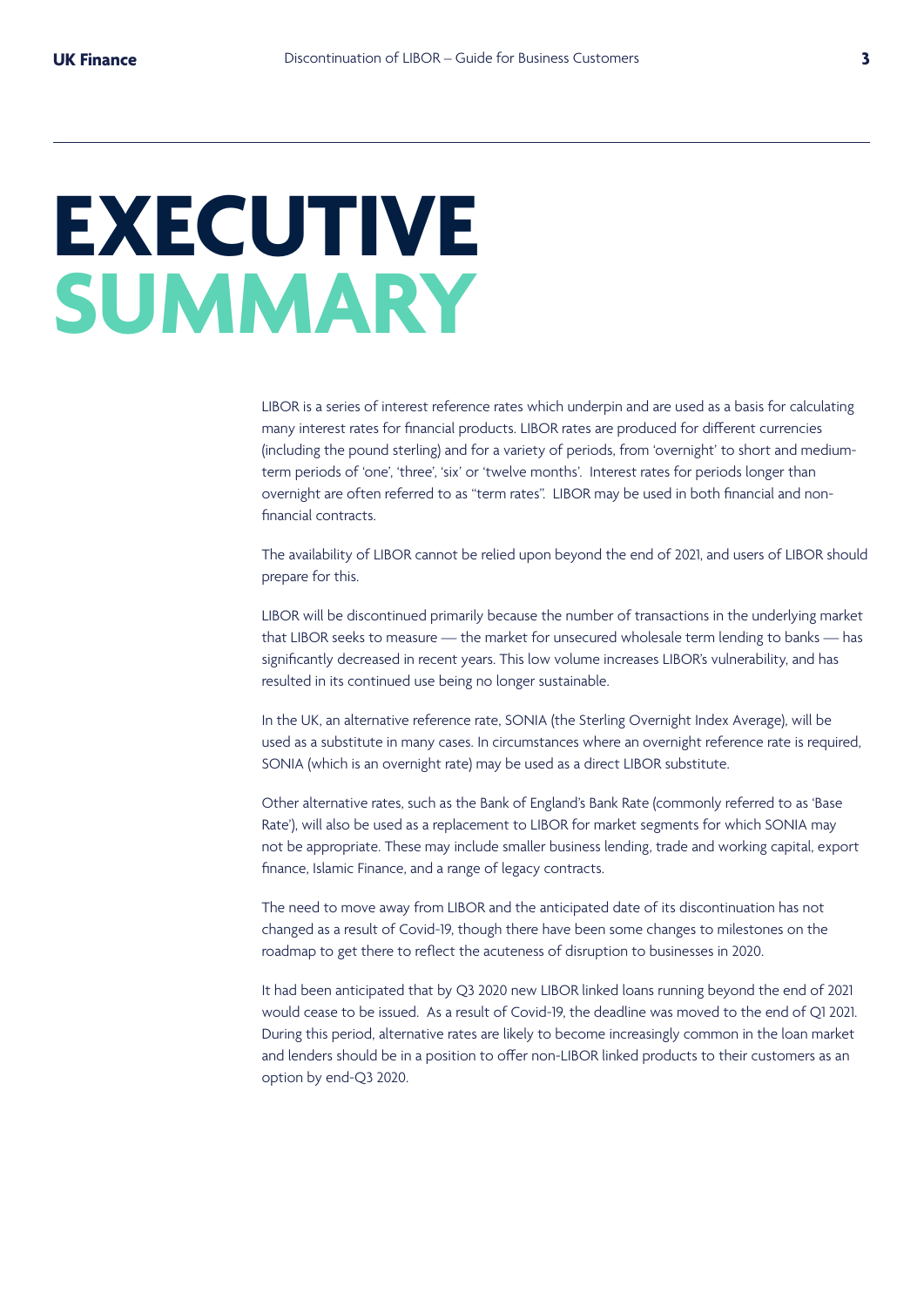## <span id="page-4-0"></span>**EXECUTIVE SUMMARY**

LIBOR is a series of interest reference rates which underpin and are used as a basis for calculating many interest rates for financial products. LIBOR rates are produced for different currencies (including the pound sterling) and for a variety of periods, from 'overnight' to short and mediumterm periods of 'one', 'three', 'six' or 'twelve months'. Interest rates for periods longer than overnight are often referred to as "term rates". LIBOR may be used in both financial and nonfinancial contracts.

The availability of LIBOR cannot be relied upon beyond the end of 2021, and users of LIBOR should prepare for this.

LIBOR will be discontinued primarily because the number of transactions in the underlying market that LIBOR seeks to measure — the market for unsecured wholesale term lending to banks — has significantly decreased in recent years. This low volume increases LIBOR's vulnerability, and has resulted in its continued use being no longer sustainable.

In the UK, an alternative reference rate, SONIA (the Sterling Overnight Index Average), will be used as a substitute in many cases. In circumstances where an overnight reference rate is required, SONIA (which is an overnight rate) may be used as a direct LIBOR substitute.

Other alternative rates, such as the Bank of England's Bank Rate (commonly referred to as 'Base Rate'), will also be used as a replacement to LIBOR for market segments for which SONIA may not be appropriate. These may include smaller business lending, trade and working capital, export finance, Islamic Finance, and a range of legacy contracts.

The need to move away from LIBOR and the anticipated date of its discontinuation has not changed as a result of Covid-19, though there have been some changes to milestones on the roadmap to get there to reflect the acuteness of disruption to businesses in 2020.

It had been anticipated that by Q3 2020 new LIBOR linked loans running beyond the end of 2021 would cease to be issued. As a result of Covid-19, the deadline was moved to the end of Q1 2021. During this period, alternative rates are likely to become increasingly common in the loan market and lenders should be in a position to offer non-LIBOR linked products to their customers as an option by end-Q3 2020.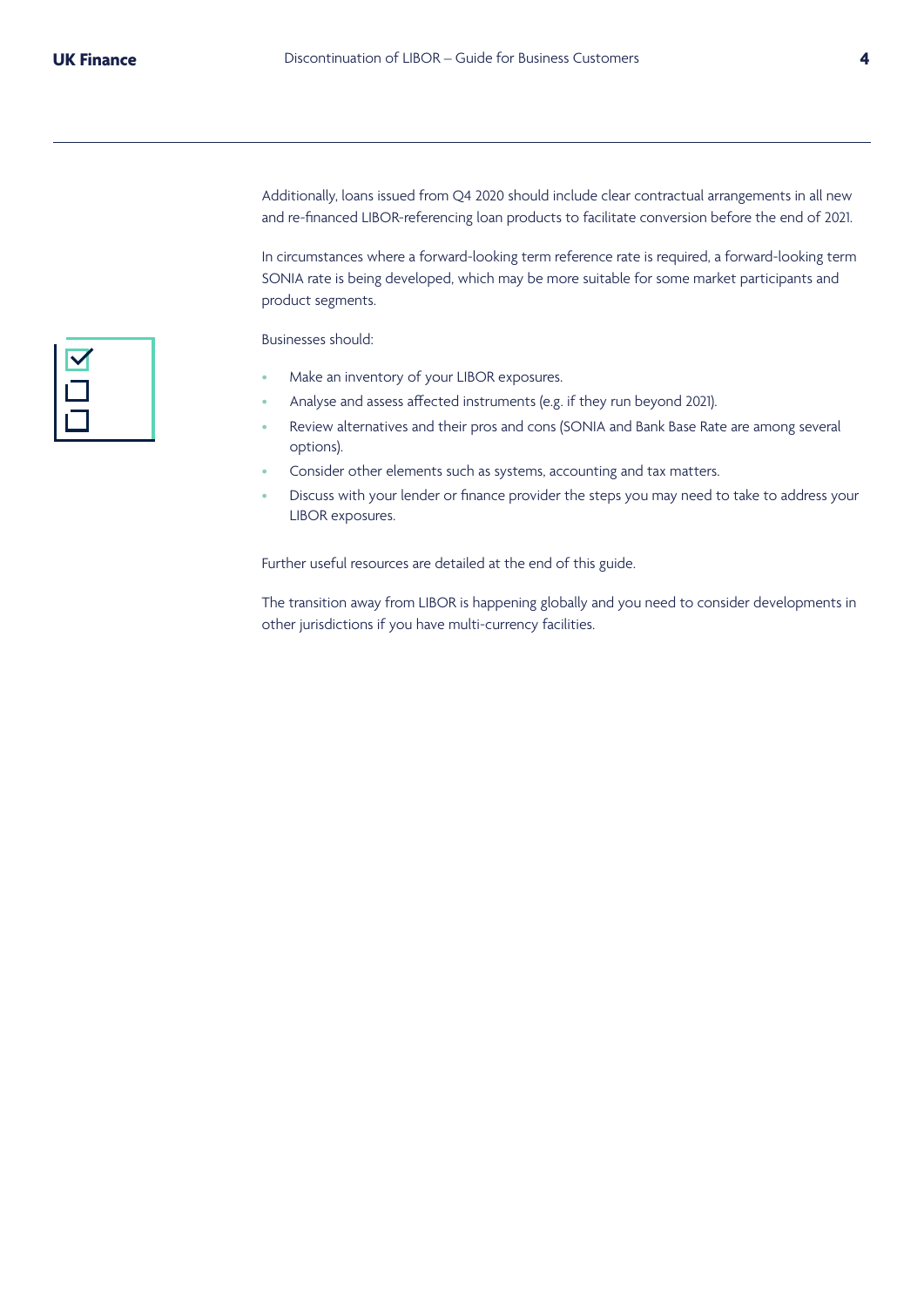Additionally, loans issued from Q4 2020 should include clear contractual arrangements in all new and re-financed LIBOR-referencing loan products to facilitate conversion before the end of 2021.

In circumstances where a forward-looking term reference rate is required, a forward-looking term SONIA rate is being developed, which may be more suitable for some market participants and product segments.

Businesses should:

- Make an inventory of your LIBOR exposures.
- Analyse and assess affected instruments (e.g. if they run beyond 2021).
- Review alternatives and their pros and cons (SONIA and Bank Base Rate are among several options).
- Consider other elements such as systems, accounting and tax matters.
- Discuss with your lender or finance provider the steps you may need to take to address your LIBOR exposures.

Further useful resources are detailed at the end of this guide.

The transition away from LIBOR is happening globally and you need to consider developments in other jurisdictions if you have multi-currency facilities.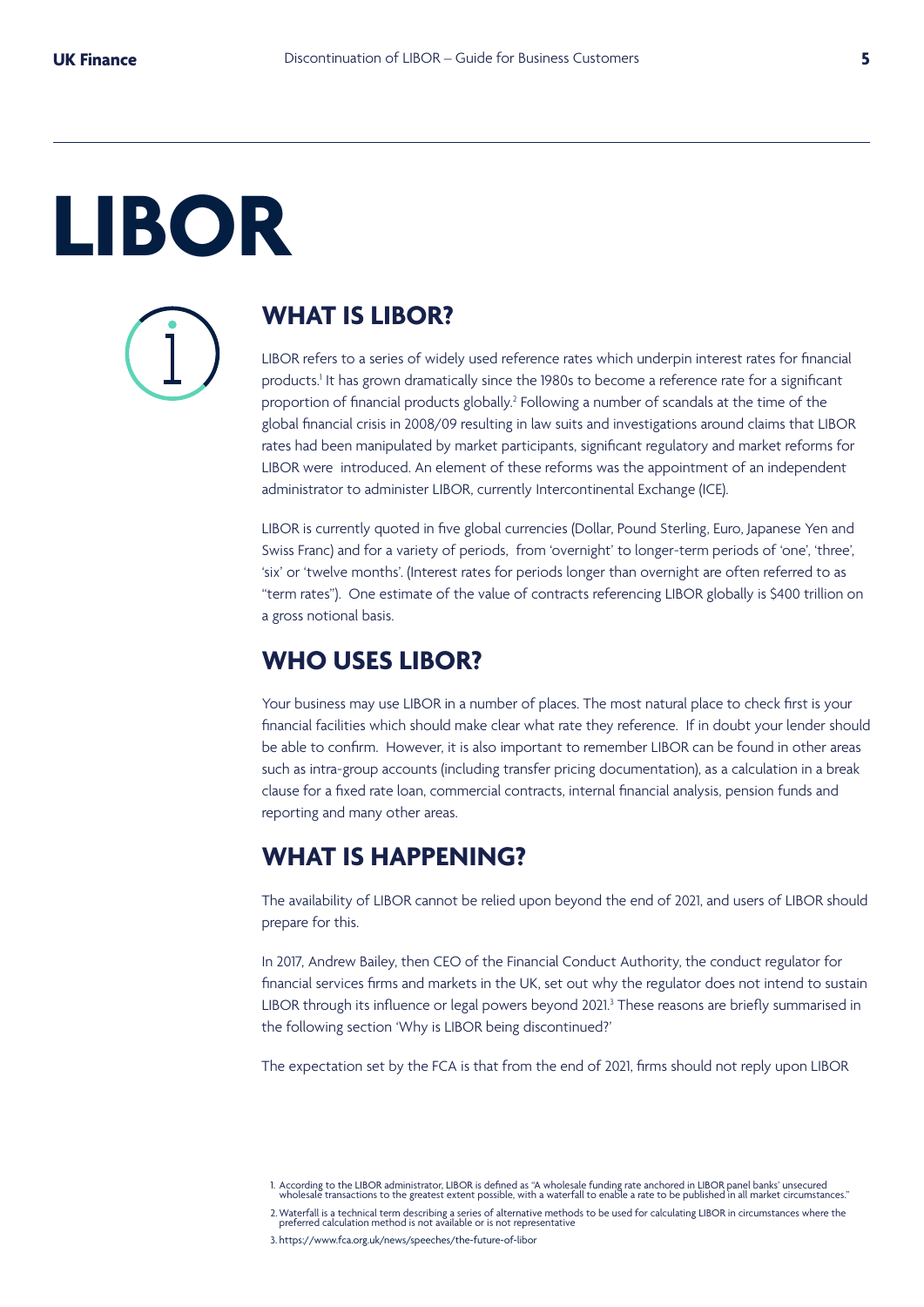# <span id="page-6-0"></span>**LIBOR**

#### **WHAT IS LIBOR?**

LIBOR refers to a series of widely used reference rates which underpin interest rates for financial products.<sup>1</sup> It has grown dramatically since the 1980s to become a reference rate for a significant proportion of financial products globally.<sup>2</sup> Following a number of scandals at the time of the global financial crisis in 2008/09 resulting in law suits and investigations around claims that LIBOR rates had been manipulated by market participants, significant regulatory and market reforms for LIBOR were introduced. An element of these reforms was the appointment of an independent administrator to administer LIBOR, currently Intercontinental Exchange (ICE).

LIBOR is currently quoted in five global currencies (Dollar, Pound Sterling, Euro, Japanese Yen and Swiss Franc) and for a variety of periods, from 'overnight' to longer-term periods of 'one', 'three', 'six' or 'twelve months'. (Interest rates for periods longer than overnight are often referred to as "term rates"). One estimate of the value of contracts referencing LIBOR globally is \$400 trillion on a gross notional basis.

#### **WHO USES LIBOR?**

Your business may use LIBOR in a number of places. The most natural place to check first is your financial facilities which should make clear what rate they reference. If in doubt your lender should be able to confirm. However, it is also important to remember LIBOR can be found in other areas such as intra-group accounts (including transfer pricing documentation), as a calculation in a break clause for a fixed rate loan, commercial contracts, internal financial analysis, pension funds and reporting and many other areas.

#### **WHAT IS HAPPENING?**

The availability of LIBOR cannot be relied upon beyond the end of 2021, and users of LIBOR should prepare for this.

In 2017, Andrew Bailey, then CEO of the Financial Conduct Authority, the conduct regulator for financial services firms and markets in the UK, set out why the regulator does not intend to sustain LIBOR through its influence or legal powers beyond 2021.<sup>3</sup> These reasons are briefly summarised in the following section 'Why is LIBOR being discontinued?'

The expectation set by the FCA is that from the end of 2021, firms should not reply upon LIBOR

<sup>1.</sup> According to the LIBOR administrator, LIBOR is defined as "A wholesale funding rate anchored in LIBOR panel banks' unsecured<br>"wholesale transactions to the greatest extent possible, with a waterfall to enable a rate to

<sup>2.</sup>Waterfall is a technical term describing a series of alternative methods to be used for calculating LIBOR in circumstances where the preferred calculation method is not available or is not representative

<sup>3.</sup> <https://www.fca.org.uk/news/speeches/the-future-of-libor>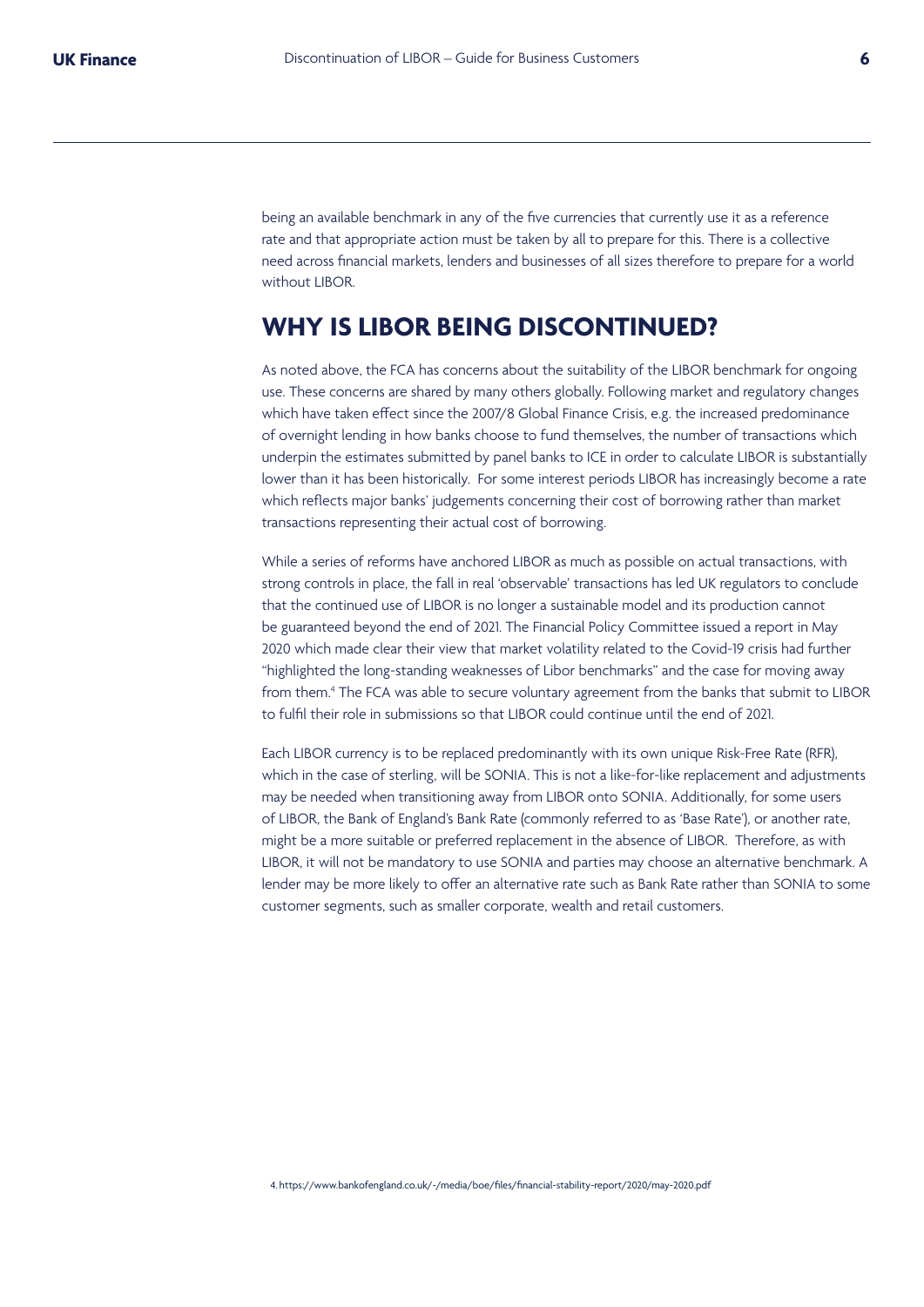<span id="page-7-0"></span>being an available benchmark in any of the five currencies that currently use it as a reference rate and that appropriate action must be taken by all to prepare for this. There is a collective need across financial markets, lenders and businesses of all sizes therefore to prepare for a world without LIBOR.

#### **WHY IS LIBOR BEING DISCONTINUED?**

As noted above, the FCA has concerns about the suitability of the LIBOR benchmark for ongoing use. These concerns are shared by many others globally. Following market and regulatory changes which have taken effect since the 2007/8 Global Finance Crisis, e.g. the increased predominance of overnight lending in how banks choose to fund themselves, the number of transactions which underpin the estimates submitted by panel banks to ICE in order to calculate LIBOR is substantially lower than it has been historically. For some interest periods LIBOR has increasingly become a rate which reflects major banks' judgements concerning their cost of borrowing rather than market transactions representing their actual cost of borrowing.

While a series of reforms have anchored LIBOR as much as possible on actual transactions, with strong controls in place, the fall in real 'observable' transactions has led UK regulators to conclude that the continued use of LIBOR is no longer a sustainable model and its production cannot be guaranteed beyond the end of 2021. The Financial Policy Committee issued a report in May 2020 which made clear their view that market volatility related to the Covid-19 crisis had further "highlighted the long-standing weaknesses of Libor benchmarks" and the case for moving away from them.4 The FCA was able to secure voluntary agreement from the banks that submit to LIBOR to fulfil their role in submissions so that LIBOR could continue until the end of 2021.

Each LIBOR currency is to be replaced predominantly with its own unique Risk-Free Rate (RFR), which in the case of sterling, will be SONIA. This is not a like-for-like replacement and adjustments may be needed when transitioning away from LIBOR onto SONIA. Additionally, for some users of LIBOR, the Bank of England's Bank Rate (commonly referred to as 'Base Rate'), or another rate, might be a more suitable or preferred replacement in the absence of LIBOR. Therefore, as with LIBOR, it will not be mandatory to use SONIA and parties may choose an alternative benchmark. A lender may be more likely to offer an alternative rate such as Bank Rate rather than SONIA to some customer segments, such as smaller corporate, wealth and retail customers.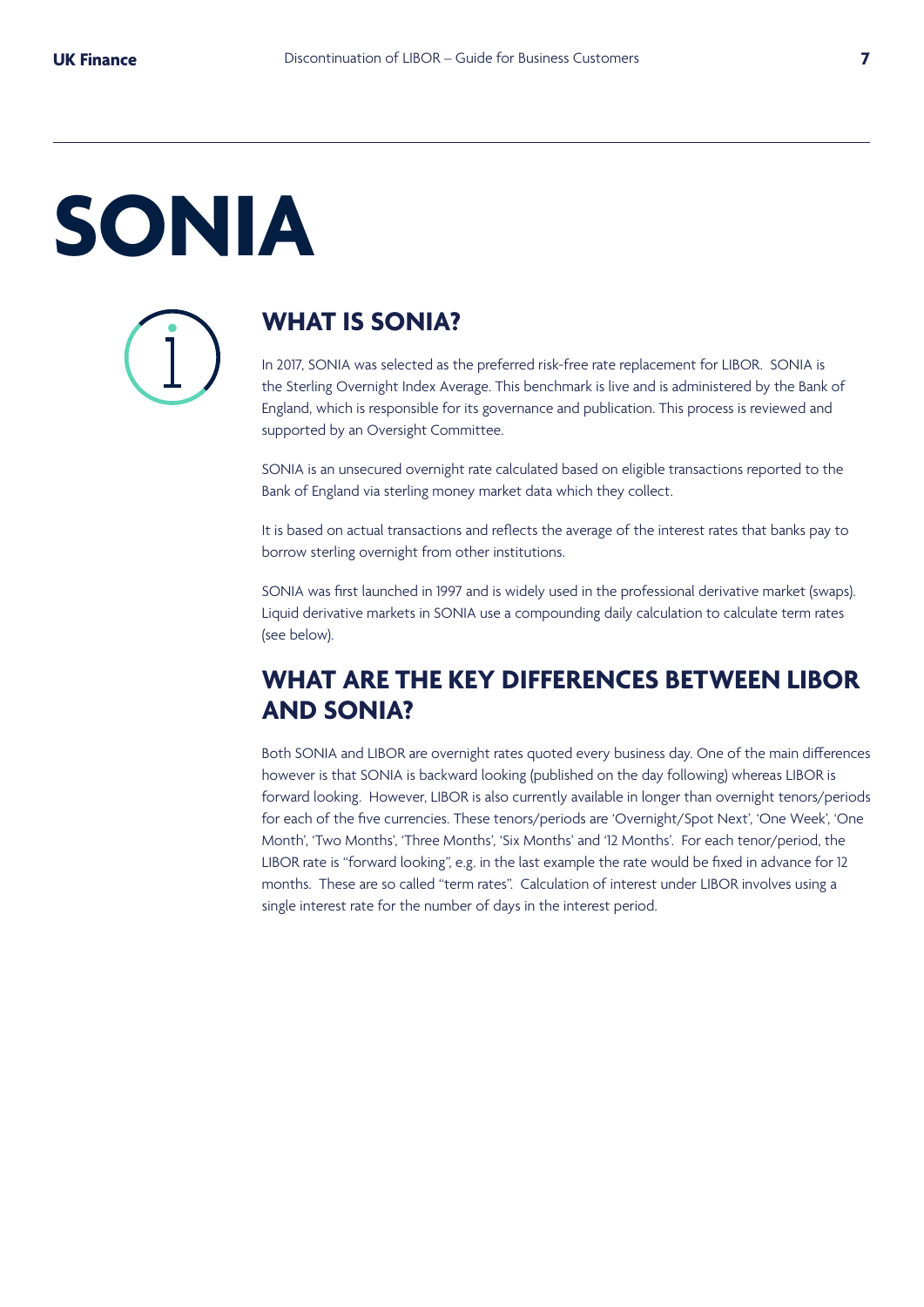# <span id="page-8-0"></span>**SONIA**



#### **WHAT IS SONIA?**

In 2017, SONIA was selected as the preferred risk-free rate replacement for LIBOR. SONIA is the Sterling Overnight Index Average. This benchmark is live and is administered by the Bank of England, which is responsible for its governance and publication. This process is reviewed and supported by an Oversight Committee.

SONIA is an unsecured overnight rate calculated based on eligible transactions reported to the Bank of England via sterling money market data which they collect.

It is based on actual transactions and reflects the average of the interest rates that banks pay to borrow sterling overnight from other institutions.

SONIA was first launched in 1997 and is widely used in the professional derivative market (swaps). Liquid derivative markets in SONIA use a compounding daily calculation to calculate term rates (see below).

### **WHAT ARE THE KEY DIFFERENCES BETWEEN LIBOR AND SONIA?**

Both SONIA and LIBOR are overnight rates quoted every business day. One of the main differences however is that SONIA is backward looking (published on the day following) whereas LIBOR is forward looking. However, LIBOR is also currently available in longer than overnight tenors/periods for each of the five currencies. These tenors/periods are 'Overnight/Spot Next', 'One Week', 'One Month', 'Two Months', 'Three Months', 'Six Months' and '12 Months'. For each tenor/period, the LIBOR rate is "forward looking", e.g. in the last example the rate would be fixed in advance for 12 months. These are so called "term rates". Calculation of interest under LIBOR involves using a single interest rate for the number of days in the interest period.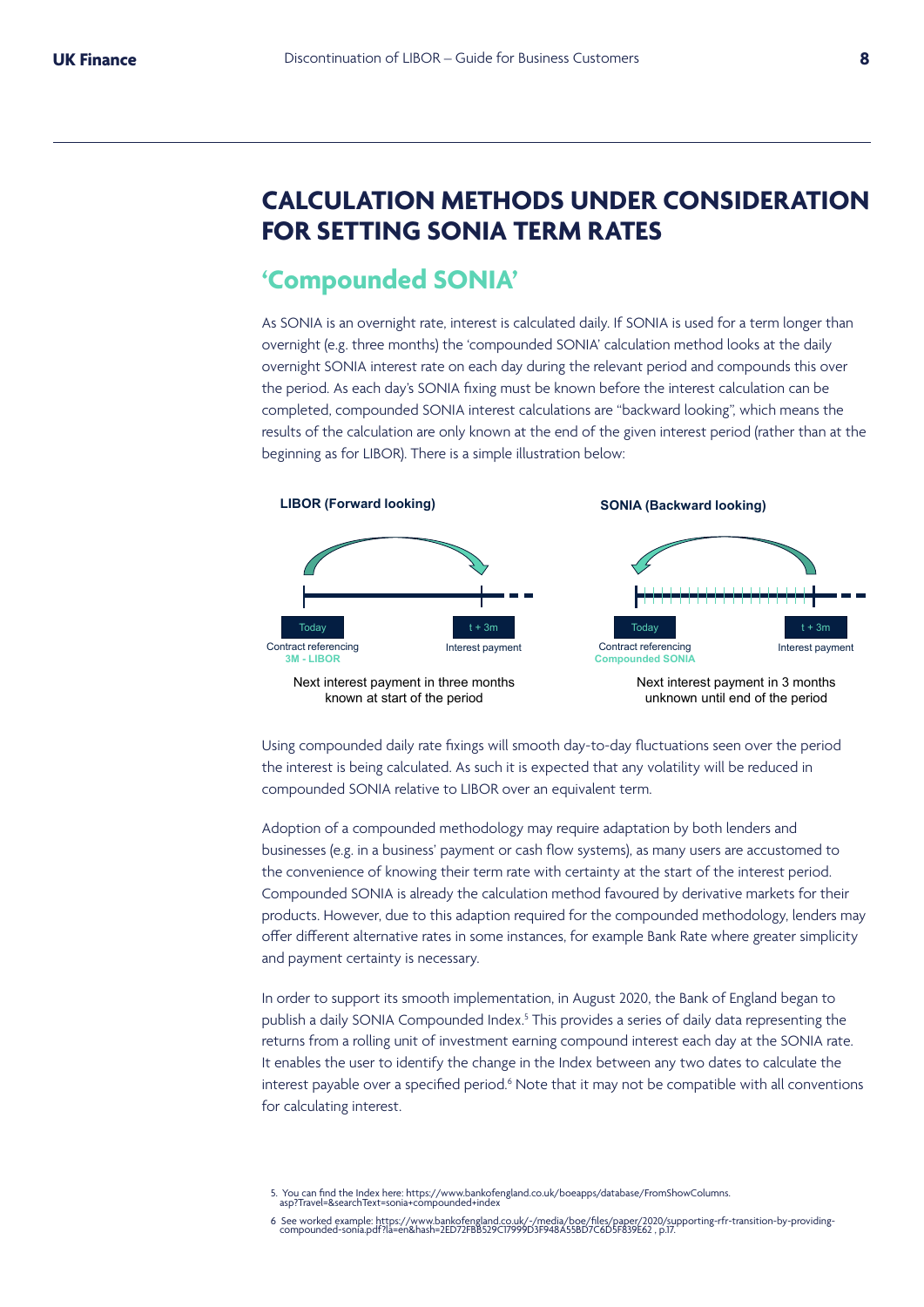#### <span id="page-9-0"></span>**CALCULATION METHODS UNDER CONSIDERATION FOR SETTING SONIA TERM RATES**

#### **'Compounded SONIA'**

As SONIA is an overnight rate, interest is calculated daily. If SONIA is used for a term longer than overnight (e.g. three months) the 'compounded SONIA' calculation method looks at the daily overnight SONIA interest rate on each day during the relevant period and compounds this over the period. As each day's SONIA fixing must be known before the interest calculation can be completed, compounded SONIA interest calculations are "backward looking", which means the results of the calculation are only known at the end of the given interest period (rather than at the beginning as for LIBOR). There is a simple illustration below:



Using compounded daily rate fixings will smooth day-to-day fluctuations seen over the period the interest is being calculated. As such it is expected that any volatility will be reduced in compounded SONIA relative to LIBOR over an equivalent term.

Adoption of a compounded methodology may require adaptation by both lenders and businesses (e.g. in a business' payment or cash flow systems), as many users are accustomed to the convenience of knowing their term rate with certainty at the start of the interest period. Compounded SONIA is already the calculation method favoured by derivative markets for their products. However, due to this adaption required for the compounded methodology, lenders may offer different alternative rates in some instances, for example Bank Rate where greater simplicity and payment certainty is necessary.

In order to support its smooth implementation, in August 2020, the Bank of England began to publish a daily SONIA Compounded Index.<sup>5</sup> This provides a series of daily data representing the returns from a rolling unit of investment earning compound interest each day at the SONIA rate. It enables the user to identify the change in the Index between any two dates to calculate the interest payable over a specified period.<sup>6</sup> Note that it may not be compatible with all conventions for calculating interest.

6 See worked example: https://www.bankofengland.co.uk/-/media/boe/files/paper/2020/supporting-rfr-transition-by-providing-compounded-sonia.pdf?la=en&hash=2ED72FBB529C17999D3F948A55BD7C6D5F839E62 , p.17.

<sup>5.</sup> You can find the Index here: https://www.bankofengland.co.uk/boeapps/database/FromShowColumns. asp?Travel=&searchText=sonia+compounded+index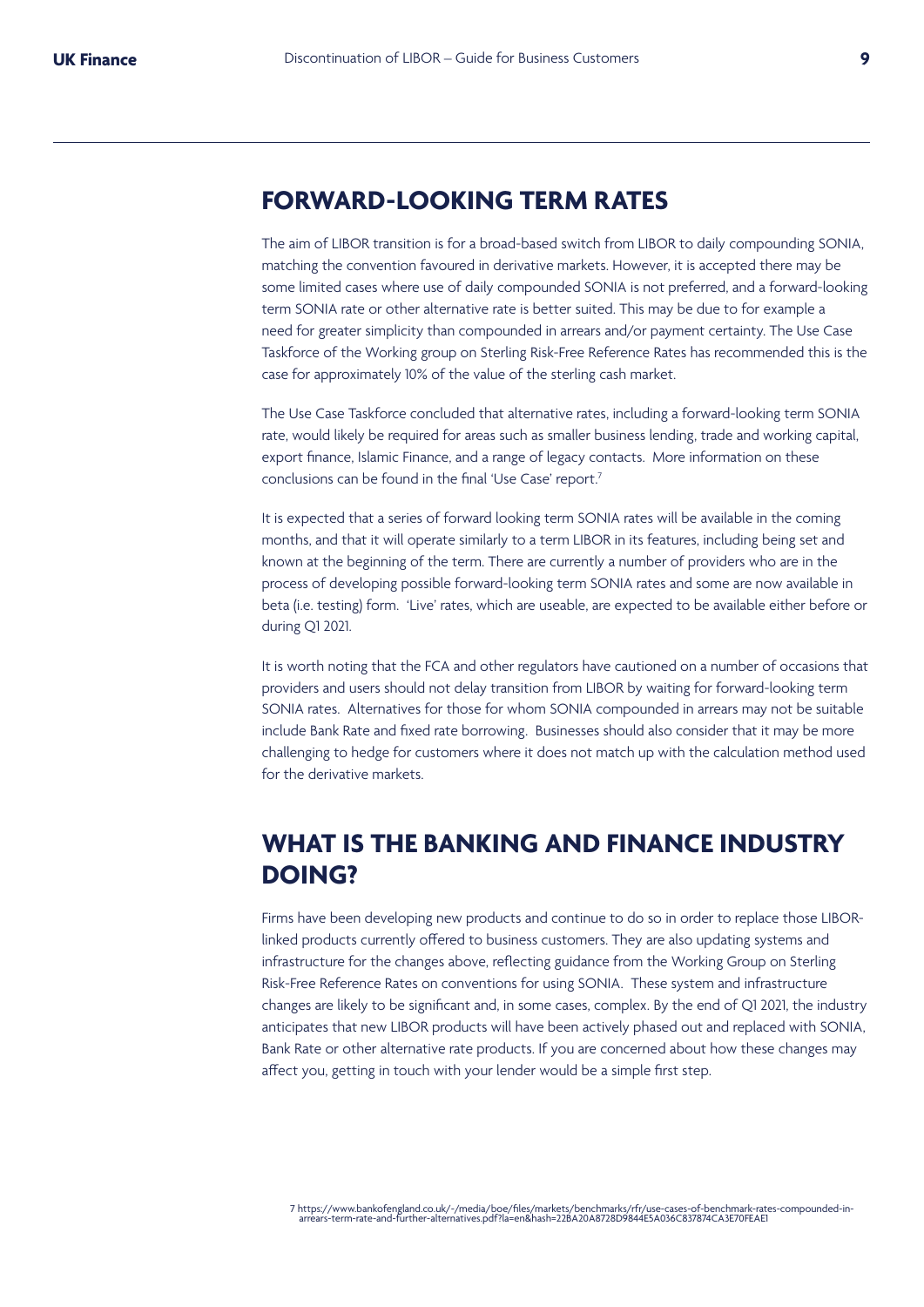#### **FORWARD-LOOKING TERM RATES**

The aim of LIBOR transition is for a broad-based switch from LIBOR to daily compounding SONIA, matching the convention favoured in derivative markets. However, it is accepted there may be some limited cases where use of daily compounded SONIA is not preferred, and a forward-looking term SONIA rate or other alternative rate is better suited. This may be due to for example a need for greater simplicity than compounded in arrears and/or payment certainty. The Use Case Taskforce of the Working group on Sterling Risk-Free Reference Rates has recommended this is the case for approximately 10% of the value of the sterling cash market.

The Use Case Taskforce concluded that alternative rates, including a forward-looking term SONIA rate, would likely be required for areas such as smaller business lending, trade and working capital, export finance, Islamic Finance, and a range of legacy contacts. More information on these conclusions can be found in the final 'Use Case' report.7

It is expected that a series of forward looking term SONIA rates will be available in the coming months, and that it will operate similarly to a term LIBOR in its features, including being set and known at the beginning of the term. There are currently a number of providers who are in the process of developing possible forward-looking term SONIA rates and some are now available in beta (i.e. testing) form. 'Live' rates, which are useable, are expected to be available either before or during Q1 2021.

It is worth noting that the FCA and other regulators have cautioned on a number of occasions that providers and users should not delay transition from LIBOR by waiting for forward-looking term SONIA rates. Alternatives for those for whom SONIA compounded in arrears may not be suitable include Bank Rate and fixed rate borrowing. Businesses should also consider that it may be more challenging to hedge for customers where it does not match up with the calculation method used for the derivative markets.

### **WHAT IS THE BANKING AND FINANCE INDUSTRY DOING?**

Firms have been developing new products and continue to do so in order to replace those LIBORlinked products currently offered to business customers. They are also updating systems and infrastructure for the changes above, reflecting guidance from the Working Group on Sterling Risk-Free Reference Rates on conventions for using SONIA. These system and infrastructure changes are likely to be significant and, in some cases, complex. By the end of Q1 2021, the industry anticipates that new LIBOR products will have been actively phased out and replaced with SONIA, Bank Rate or other alternative rate products. If you are concerned about how these changes may affect you, getting in touch with your lender would be a simple first step.

<sup>7</sup> https://www.bankofengland.co.uk/-/media/boe/files/markets/benchmarks/rfr/use-cases-of-benchmark-rates-compounded-in-arrears-term-rate-and-further-alternatives.pdf?la=en&hash=22BA20A8728D9844E5A036C837874CA3E70FEAE1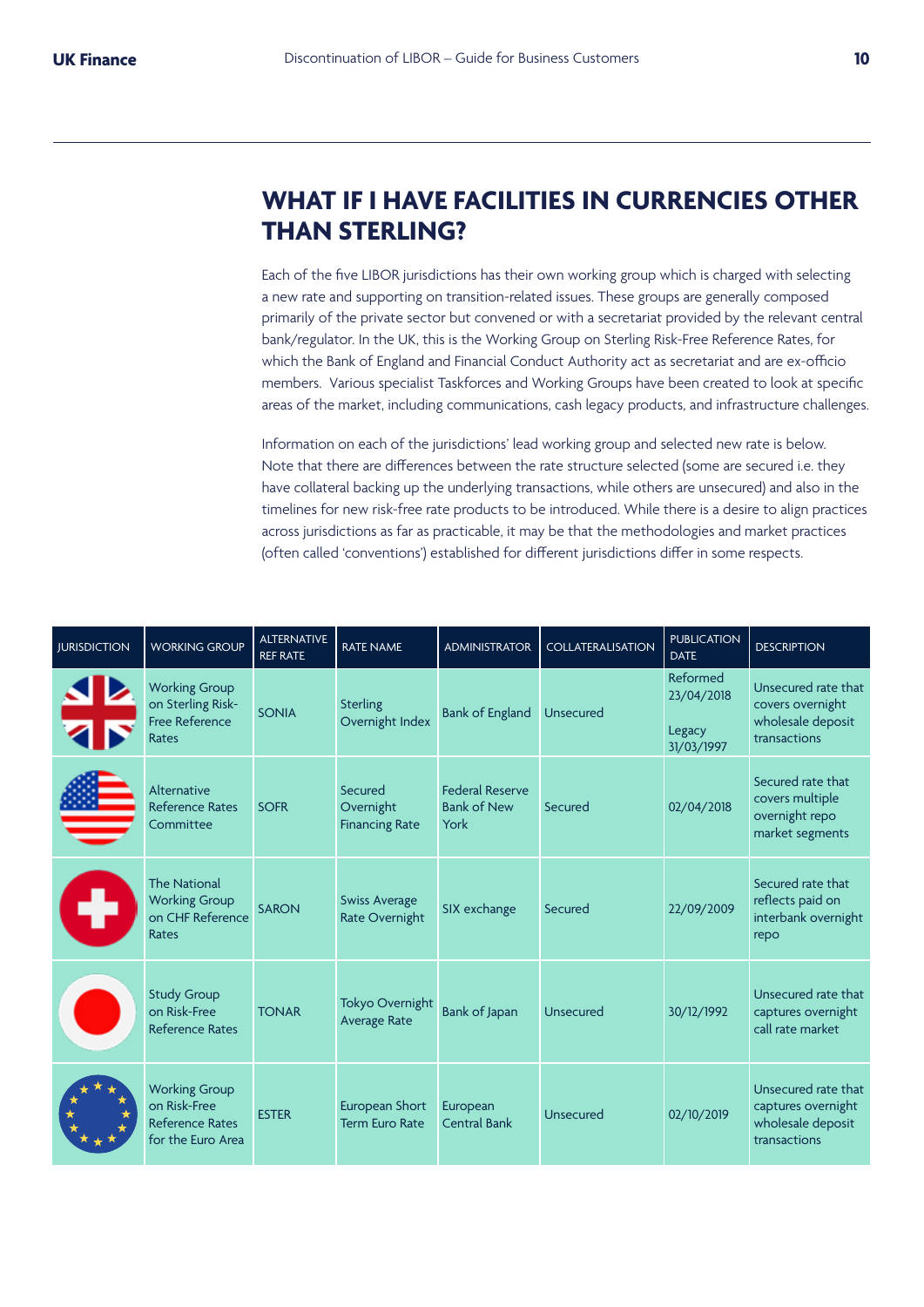### <span id="page-11-0"></span>**WHAT IF I HAVE FACILITIES IN CURRENCIES OTHER THAN STERLING?**

Each of the five LIBOR jurisdictions has their own working group which is charged with selecting a new rate and supporting on transition-related issues. These groups are generally composed primarily of the private sector but convened or with a secretariat provided by the relevant central bank/regulator. In the UK, this is the Working Group on Sterling Risk-Free Reference Rates, for which the Bank of England and Financial Conduct Authority act as secretariat and are ex-officio members. Various specialist Taskforces and Working Groups have been created to look at specific areas of the market, including communications, cash legacy products, and infrastructure challenges.

Information on each of the jurisdictions' lead working group and selected new rate is below. Note that there are differences between the rate structure selected (some are secured i.e. they have collateral backing up the underlying transactions, while others are unsecured) and also in the timelines for new risk-free rate products to be introduced. While there is a desire to align practices across jurisdictions as far as practicable, it may be that the methodologies and market practices (often called 'conventions') established for different jurisdictions differ in some respects.

| <b>JURISDICTION</b> | <b>WORKING GROUP</b>                                                                | <b>ALTERNATIVE</b><br><b>REF RATE</b> | <b>RATE NAME</b>                              | <b>ADMINISTRATOR</b>                                 | <b>COLLATERALISATION</b> | <b>PUBLICATION</b><br><b>DATE</b>              | <b>DESCRIPTION</b>                                                             |
|---------------------|-------------------------------------------------------------------------------------|---------------------------------------|-----------------------------------------------|------------------------------------------------------|--------------------------|------------------------------------------------|--------------------------------------------------------------------------------|
|                     | <b>Working Group</b><br>on Sterling Risk-<br><b>Free Reference</b><br><b>Rates</b>  | <b>SONIA</b>                          | <b>Sterling</b><br>Overnight Index            | <b>Bank of England</b>                               | Unsecured                | Reformed<br>23/04/2018<br>Legacy<br>31/03/1997 | Unsecured rate that<br>covers overnight<br>wholesale deposit<br>transactions   |
|                     | Alternative<br><b>Reference Rates</b><br>Committee                                  | <b>SOFR</b>                           | Secured<br>Overnight<br><b>Financing Rate</b> | <b>Federal Reserve</b><br><b>Bank of New</b><br>York | Secured                  | 02/04/2018                                     | Secured rate that<br>covers multiple<br>overnight repo<br>market segments      |
|                     | <b>The National</b><br><b>Working Group</b><br>on CHF Reference<br><b>Rates</b>     | <b>SARON</b>                          | <b>Swiss Average</b><br>Rate Overnight        | SIX exchange                                         | Secured                  | 22/09/2009                                     | Secured rate that<br>reflects paid on<br>interbank overnight<br>repo           |
|                     | <b>Study Group</b><br>on Risk-Free<br><b>Reference Rates</b>                        | <b>TONAR</b>                          | Tokyo Overnight<br><b>Average Rate</b>        | Bank of Japan                                        | Unsecured                | 30/12/1992                                     | Unsecured rate that<br>captures overnight<br>call rate market                  |
|                     | <b>Working Group</b><br>on Risk-Free<br><b>Reference Rates</b><br>for the Euro Area | <b>ESTER</b>                          | European Short<br><b>Term Euro Rate</b>       | European<br>Central Bank                             | Unsecured                | 02/10/2019                                     | Unsecured rate that<br>captures overnight<br>wholesale deposit<br>transactions |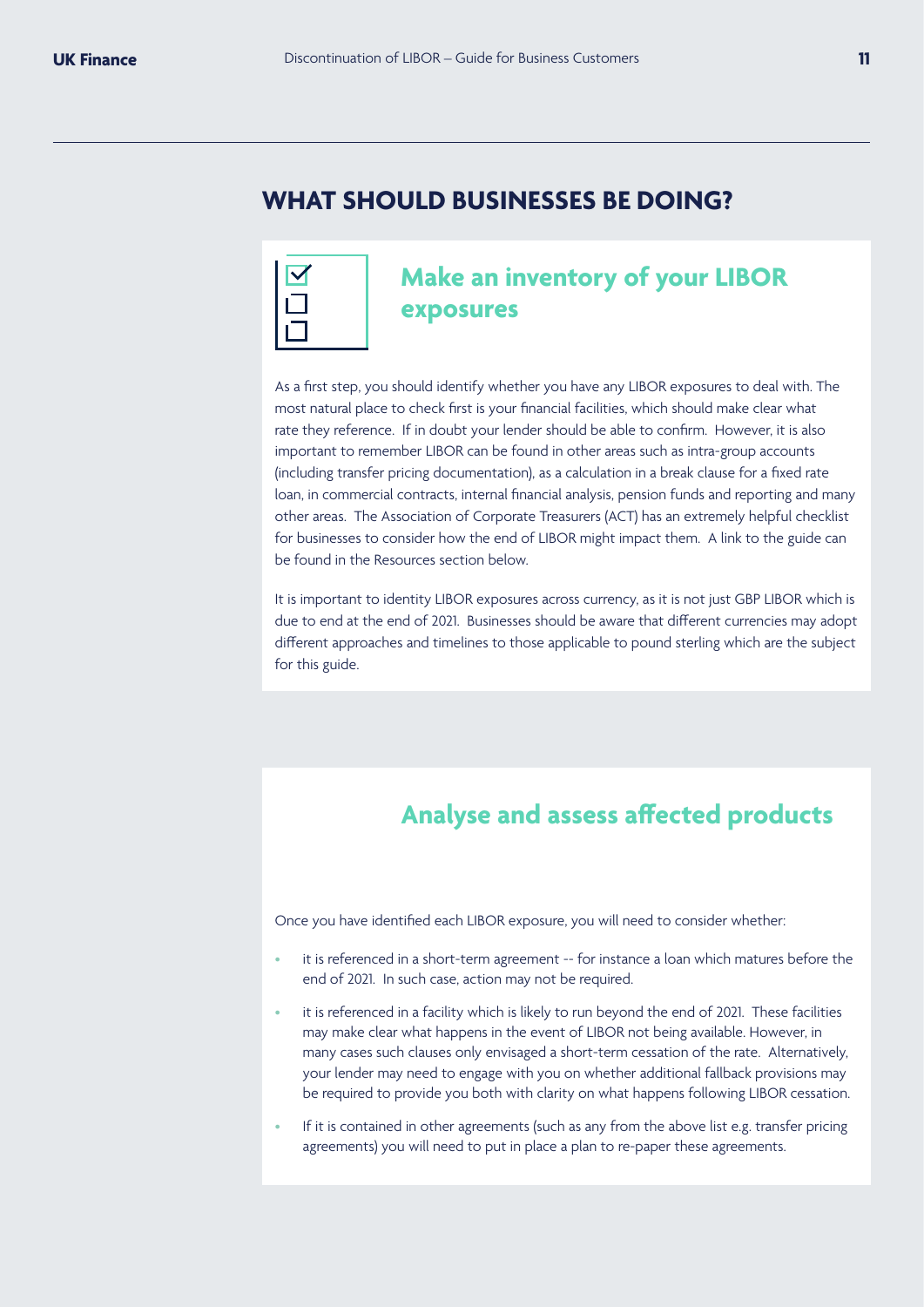#### <span id="page-12-0"></span>**WHAT SHOULD BUSINESSES BE DOING?**



### **Make an inventory of your LIBOR exposures**

As a first step, you should identify whether you have any LIBOR exposures to deal with. The most natural place to check first is your financial facilities, which should make clear what rate they reference. If in doubt your lender should be able to confirm. However, it is also important to remember LIBOR can be found in other areas such as intra-group accounts (including transfer pricing documentation), as a calculation in a break clause for a fixed rate loan, in commercial contracts, internal financial analysis, pension funds and reporting and many other areas. The Association of Corporate Treasurers (ACT) has an extremely helpful checklist for businesses to consider how the end of LIBOR might impact them. A link to the guide can be found in the Resources section below.

It is important to identity LIBOR exposures across currency, as it is not just GBP LIBOR which is due to end at the end of 2021. Businesses should be aware that different currencies may adopt different approaches and timelines to those applicable to pound sterling which are the subject for this guide.

#### **Analyse and assess affected products**

Once you have identified each LIBOR exposure, you will need to consider whether:

- it is referenced in a short-term agreement -- for instance a loan which matures before the end of 2021. In such case, action may not be required.
- it is referenced in a facility which is likely to run beyond the end of 2021. These facilities may make clear what happens in the event of LIBOR not being available. However, in many cases such clauses only envisaged a short-term cessation of the rate. Alternatively, your lender may need to engage with you on whether additional fallback provisions may be required to provide you both with clarity on what happens following LIBOR cessation.
- If it is contained in other agreements (such as any from the above list e.g. transfer pricing agreements) you will need to put in place a plan to re-paper these agreements.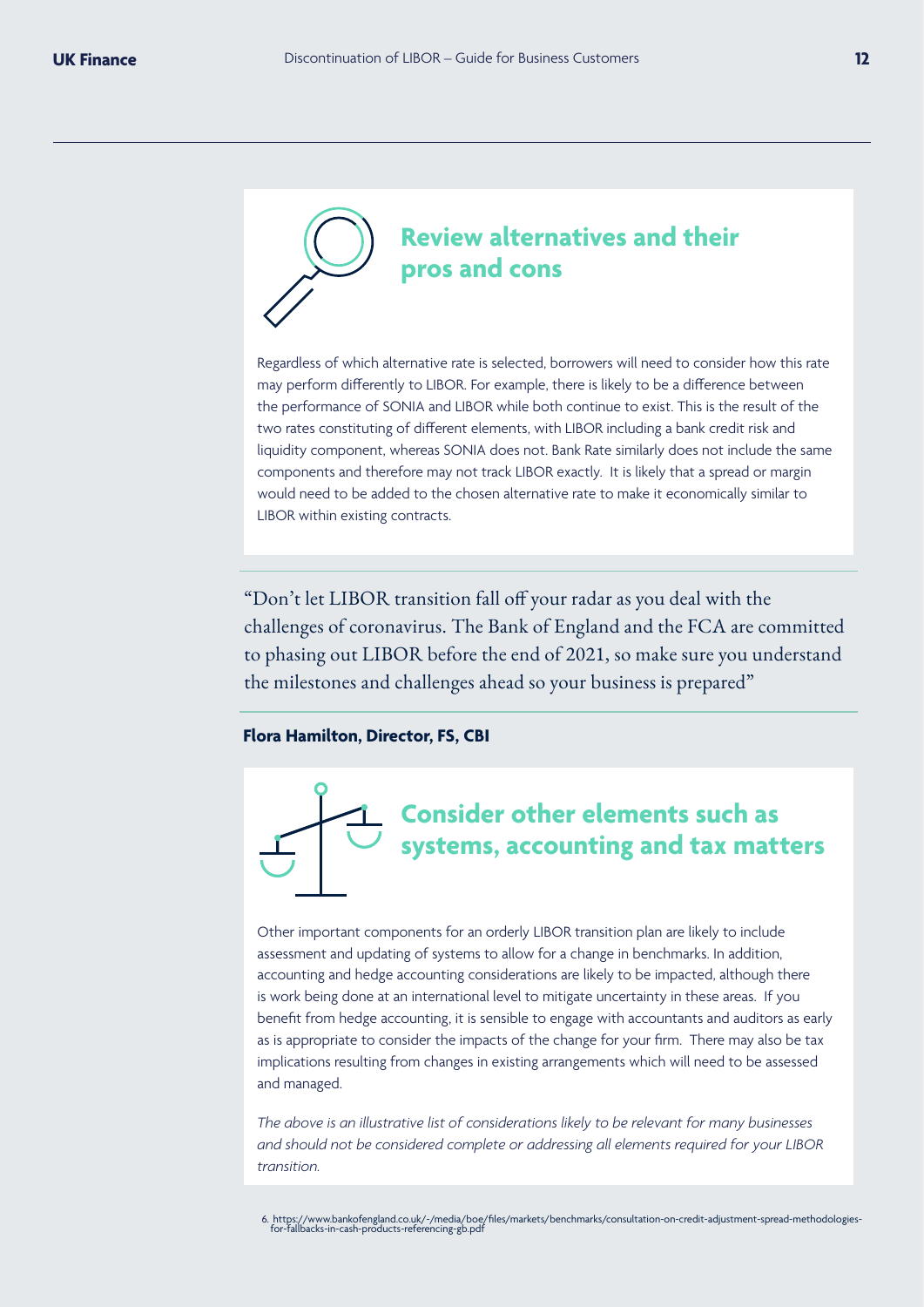

<span id="page-13-0"></span>

Regardless of which alternative rate is selected, borrowers will need to consider how this rate may perform differently to LIBOR. For example, there is likely to be a difference between the performance of SONIA and LIBOR while both continue to exist. This is the result of the two rates constituting of different elements, with LIBOR including a bank credit risk and liquidity component, whereas SONIA does not. Bank Rate similarly does not include the same components and therefore may not track LIBOR exactly. It is likely that a spread or margin would need to be added to the chosen alternative rate to make it economically similar to LIBOR within existing contracts.

"Don't let LIBOR transition fall off your radar as you deal with the challenges of coronavirus. The Bank of England and the FCA are committed to phasing out LIBOR before the end of 2021, so make sure you understand the milestones and challenges ahead so your business is prepared"

#### **Flora Hamilton, Director, FS, CBI**

### **Consider other elements such as systems, accounting and tax matters**

Other important components for an orderly LIBOR transition plan are likely to include assessment and updating of systems to allow for a change in benchmarks. In addition, accounting and hedge accounting considerations are likely to be impacted, although there is work being done at an international level to mitigate uncertainty in these areas. If you benefit from hedge accounting, it is sensible to engage with accountants and auditors as early as is appropriate to consider the impacts of the change for your firm. There may also be tax implications resulting from changes in existing arrangements which will need to be assessed and managed.

*The above is an illustrative list of considerations likely to be relevant for many businesses and should not be considered complete or addressing all elements required for your LIBOR transition.* 

6. [https://www.bankofengland.co.uk/-/media/boe/files/markets/benchmarks/consultation-on-credit-adjustment-spread-methodologies-](https://www.bankofengland.co.uk/-/media/boe/files/markets/benchmarks/consultation-on-credit-adjustme)[for-fallbacks-in-cash-products-referencing-gb.pdf](https://www.bankofengland.co.uk/-/media/boe/files/markets/benchmarks/consultation-on-credit-adjustme)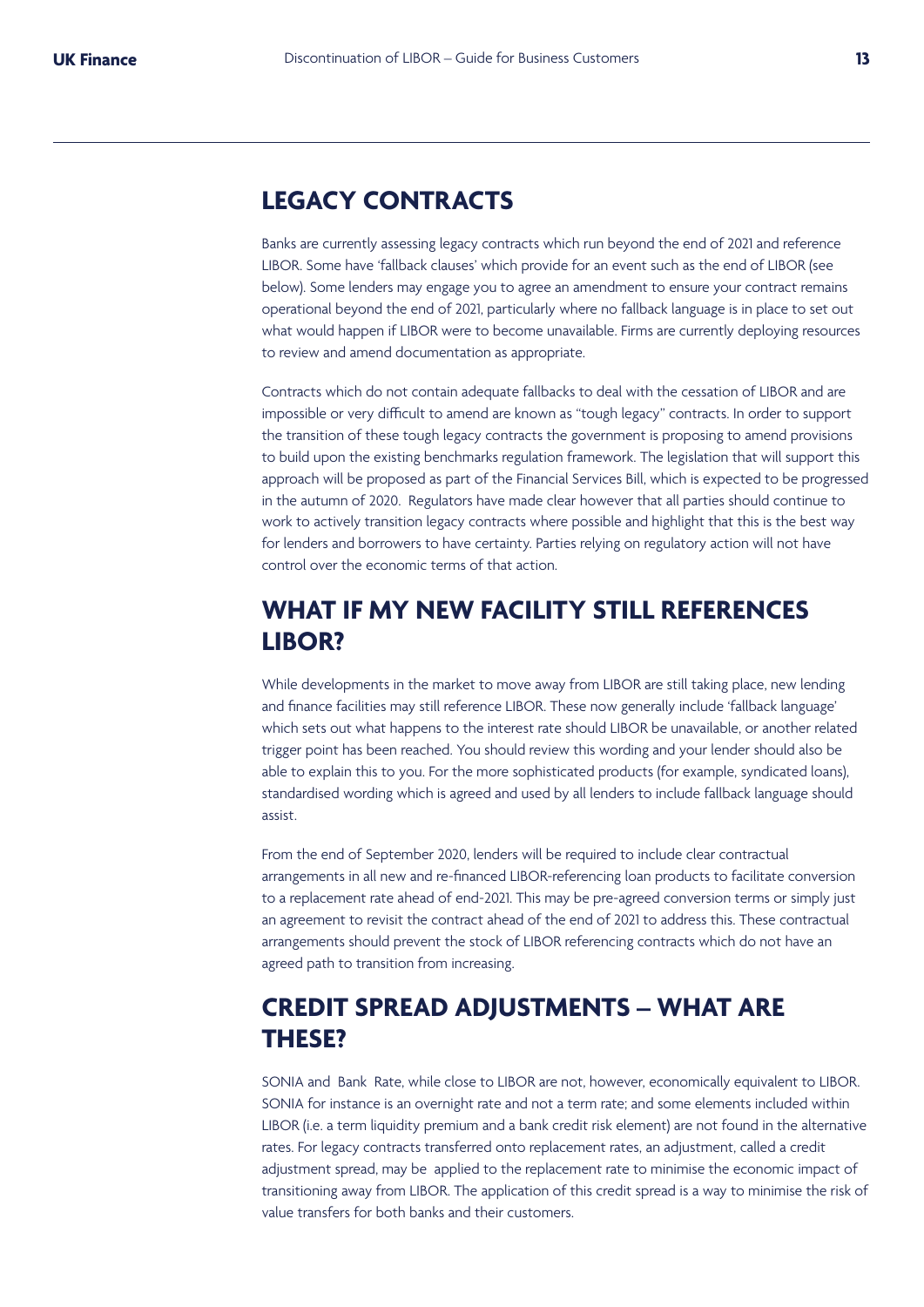#### <span id="page-14-0"></span>**LEGACY CONTRACTS**

Banks are currently assessing legacy contracts which run beyond the end of 2021 and reference LIBOR. Some have 'fallback clauses' which provide for an event such as the end of LIBOR (see below). Some lenders may engage you to agree an amendment to ensure your contract remains operational beyond the end of 2021, particularly where no fallback language is in place to set out what would happen if LIBOR were to become unavailable. Firms are currently deploying resources to review and amend documentation as appropriate.

Contracts which do not contain adequate fallbacks to deal with the cessation of LIBOR and are impossible or very difficult to amend are known as "tough legacy" contracts. In order to support the transition of these tough legacy contracts the government is proposing to amend provisions to build upon the existing benchmarks regulation framework. The legislation that will support this approach will be proposed as part of the Financial Services Bill, which is expected to be progressed in the autumn of 2020. Regulators have made clear however that all parties should continue to work to actively transition legacy contracts where possible and highlight that this is the best way for lenders and borrowers to have certainty. Parties relying on regulatory action will not have control over the economic terms of that action.

### **WHAT IF MY NEW FACILITY STILL REFERENCES LIBOR?**

While developments in the market to move away from LIBOR are still taking place, new lending and finance facilities may still reference LIBOR. These now generally include 'fallback language' which sets out what happens to the interest rate should LIBOR be unavailable, or another related trigger point has been reached. You should review this wording and your lender should also be able to explain this to you. For the more sophisticated products (for example, syndicated loans), standardised wording which is agreed and used by all lenders to include fallback language should assist.

From the end of September 2020, lenders will be required to include clear contractual arrangements in all new and re-financed LIBOR-referencing loan products to facilitate conversion to a replacement rate ahead of end-2021. This may be pre-agreed conversion terms or simply just an agreement to revisit the contract ahead of the end of 2021 to address this. These contractual arrangements should prevent the stock of LIBOR referencing contracts which do not have an agreed path to transition from increasing.

#### **CREDIT SPREAD ADJUSTMENTS – WHAT ARE THESE?**

SONIA and Bank Rate, while close to LIBOR are not, however, economically equivalent to LIBOR. SONIA for instance is an overnight rate and not a term rate; and some elements included within LIBOR (i.e. a term liquidity premium and a bank credit risk element) are not found in the alternative rates. For legacy contracts transferred onto replacement rates, an adjustment, called a credit adjustment spread, may be applied to the replacement rate to minimise the economic impact of transitioning away from LIBOR. The application of this credit spread is a way to minimise the risk of value transfers for both banks and their customers.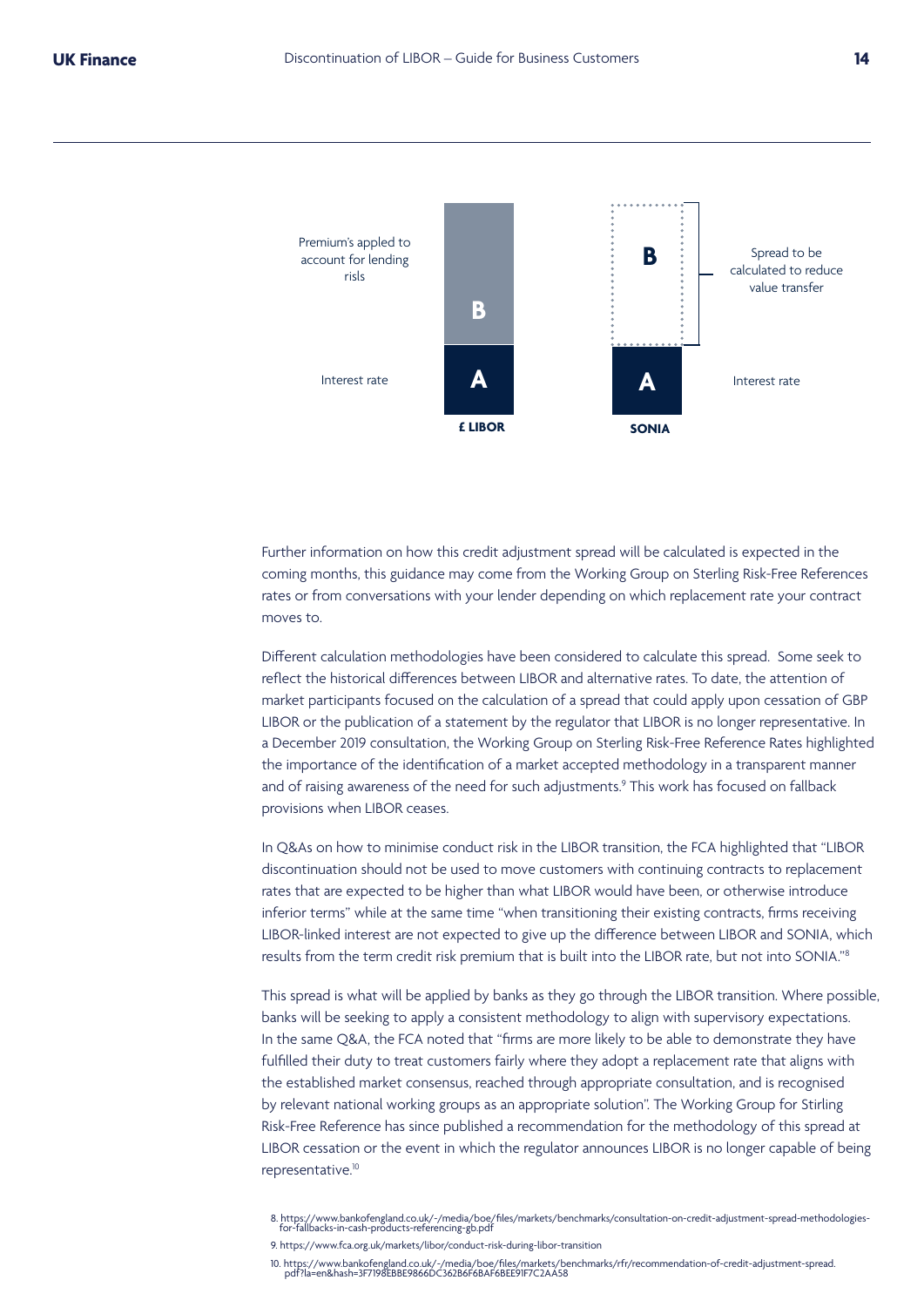

Further information on how this credit adjustment spread will be calculated is expected in the coming months, this guidance may come from the Working Group on Sterling Risk-Free References rates or from conversations with your lender depending on which replacement rate your contract moves to.

Different calculation methodologies have been considered to calculate this spread. Some seek to reflect the historical differences between LIBOR and alternative rates. To date, the attention of market participants focused on the calculation of a spread that could apply upon cessation of GBP LIBOR or the publication of a statement by the regulator that LIBOR is no longer representative. In a December 2019 consultation, the Working Group on Sterling Risk-Free Reference Rates highlighted the importance of the identification of a market accepted methodology in a transparent manner and of raising awareness of the need for such adjustments.9 This work has focused on fallback provisions when LIBOR ceases.

In Q&As on how to minimise conduct risk in the LIBOR transition, the FCA highlighted that "LIBOR discontinuation should not be used to move customers with continuing contracts to replacement rates that are expected to be higher than what LIBOR would have been, or otherwise introduce inferior terms" while at the same time "when transitioning their existing contracts, firms receiving LIBOR-linked interest are not expected to give up the difference between LIBOR and SONIA, which results from the term credit risk premium that is built into the LIBOR rate, but not into SONIA."8

This spread is what will be applied by banks as they go through the LIBOR transition. Where possible, banks will be seeking to apply a consistent methodology to align with supervisory expectations. In the same Q&A, the FCA noted that "firms are more likely to be able to demonstrate they have fulfilled their duty to treat customers fairly where they adopt a replacement rate that aligns with the established market consensus, reached through appropriate consultation, and is recognised by relevant national working groups as an appropriate solution". The Working Group for Stirling Risk-Free Reference has since published a recommendation for the methodology of this spread at LIBOR cessation or the event in which the regulator announces LIBOR is no longer capable of being representative.<sup>10</sup>

9. https://www.fca.org.uk/markets/libor/conduct-risk-during-libor-transition

<sup>8.</sup> https://www.bankofengland.co.uk/-/media/boe/files/markets/benchmarks/consultation-on-credit-adjustment-spread-methodologies-<br>for-fallbacks-in-cash-products-referencing-gb.pdf

<sup>10.</sup> https://www.bankofengland.co.uk/-/media/boe/files/markets/benchmarks/rfr/recommendation-of-credit-adjustment-spread. pdf?la=en&hash=3F7198EBBE9866DC362B6F6BAF6BEE91F7C2AA58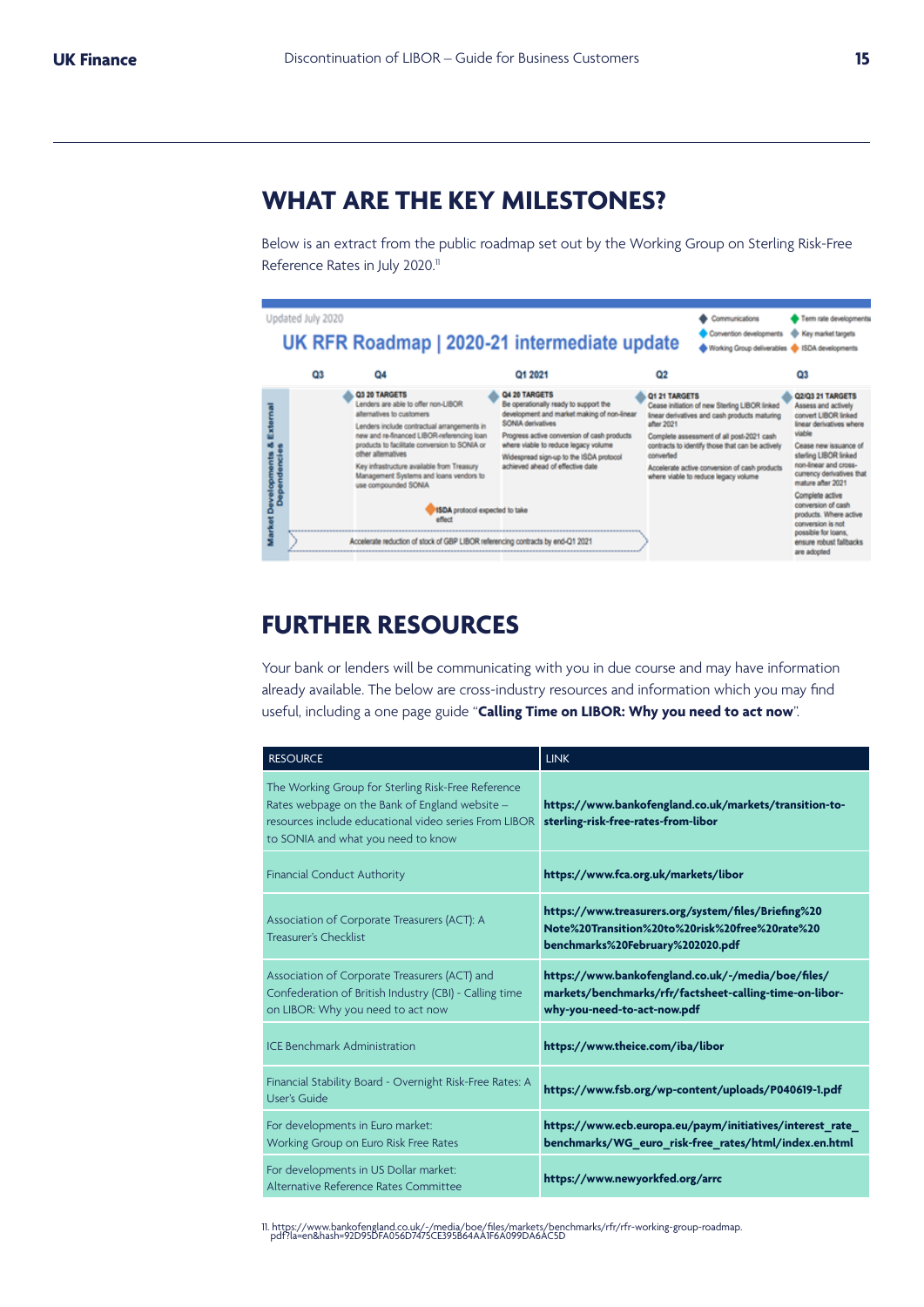#### <span id="page-16-0"></span>**WHAT ARE THE KEY MILESTONES?**

Below is an extract from the public roadmap set out by the Working Group on Sterling Risk-Free Reference Rates in July 2020.<sup>11</sup>



#### **FURTHER RESOURCES**

Your bank or lenders will be communicating with you in due course and may have information already available. The below are cross-industry resources and information which you may find useful, including a one page guide "**[Calling Time on LIBOR: Why you need to act now](https://www.bankofengland.co.uk/-/media/boe/files/markets/benchmarks/rfr/factsheet-calling-time-on-libor-why-you-need-to-act-now.pdf?la=en&hash=5832419D3782354BAC3E041E4F5C2860D5D3B75F)**".

| <b>RESOURCE</b>                                                                                                                                                                                     | <b>LINK</b>                                                                                                                                  |
|-----------------------------------------------------------------------------------------------------------------------------------------------------------------------------------------------------|----------------------------------------------------------------------------------------------------------------------------------------------|
| The Working Group for Sterling Risk-Free Reference<br>Rates webpage on the Bank of England website -<br>resources include educational video series From LIBOR<br>to SONIA and what you need to know | https://www.bankofengland.co.uk/markets/transition-to-<br>sterling-risk-free-rates-from-libor                                                |
| <b>Financial Conduct Authority</b>                                                                                                                                                                  | https://www.fca.org.uk/markets/libor                                                                                                         |
| Association of Corporate Treasurers (ACT): A<br>Treasurer's Checklist                                                                                                                               | https://www.treasurers.org/system/files/Briefing%20<br>Note%20Transition%20to%20risk%20free%20rate%20<br>benchmarks%20February%202020.pdf    |
| Association of Corporate Treasurers (ACT) and<br>Confederation of British Industry (CBI) - Calling time<br>on LIBOR: Why you need to act now                                                        | https://www.bankofengland.co.uk/-/media/boe/files/<br>markets/benchmarks/rfr/factsheet-calling-time-on-libor-<br>why-you-need-to-act-now.pdf |
| <b>ICE Benchmark Administration</b>                                                                                                                                                                 | https://www.theice.com/iba/libor                                                                                                             |
| Financial Stability Board - Overnight Risk-Free Rates: A<br>User's Guide                                                                                                                            | https://www.fsb.org/wp-content/uploads/P040619-1.pdf                                                                                         |
| For developments in Euro market:<br>Working Group on Euro Risk Free Rates                                                                                                                           | https://www.ecb.europa.eu/paym/initiatives/interest_rate_<br>benchmarks/WG_euro_risk-free_rates/html/index.en.html                           |
| For developments in US Dollar market:<br>Alternative Reference Rates Committee                                                                                                                      | https://www.newyorkfed.org/arrc                                                                                                              |

11. https://www.bankofengland.co.uk/-/media/boe/files/markets/benchmarks/rfr/rfr-working-group-roadmap. pdf?la=en&hash=92D95DFA056D7475CE395B64AA1F6A099DA6AC5D